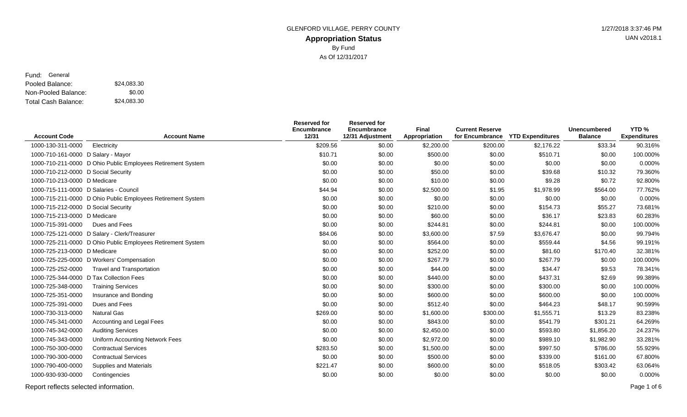### **Appropriation Status** GLENFORD VILLAGE, PERRY COUNTY **1/27/2018** 3:37:46 PM By Fund As Of 12/31/2017

UAN v2018.1

### Pooled Balance: \$24,083.30 Non-Pooled Balance: Total Cash Balance: Fund: General \$0.00 \$24,083.30

|                                         |                                                             | <b>Reserved for</b><br>Encumbrance | <b>Reserved for</b><br>Encumbrance | Final         | <b>Current Reserve</b> |                         | <b>Unencumbered</b> | YTD%                |
|-----------------------------------------|-------------------------------------------------------------|------------------------------------|------------------------------------|---------------|------------------------|-------------------------|---------------------|---------------------|
| <b>Account Code</b>                     | <b>Account Name</b>                                         | 12/31                              | 12/31 Adjustment                   | Appropriation | for Encumbrance        | <b>YTD Expenditures</b> | <b>Balance</b>      | <b>Expenditures</b> |
| 1000-130-311-0000                       | Electricity                                                 | \$209.56                           | \$0.00                             | \$2,200.00    | \$200.00               | \$2,176.22              | \$33.34             | 90.316%             |
| 1000-710-161-0000 D Salary - Mayor      |                                                             | \$10.71                            | \$0.00                             | \$500.00      | \$0.00                 | \$510.71                | \$0.00              | 100.000%            |
|                                         | 1000-710-211-0000 D Ohio Public Employees Retirement System | \$0.00                             | \$0.00                             | \$0.00        | \$0.00                 | \$0.00                  | \$0.00              | 0.000%              |
| 1000-710-212-0000 D Social Security     |                                                             | \$0.00                             | \$0.00                             | \$50.00       | \$0.00                 | \$39.68                 | \$10.32             | 79.360%             |
| 1000-710-213-0000 D Medicare            |                                                             | \$0.00                             | \$0.00                             | \$10.00       | \$0.00                 | \$9.28                  | \$0.72              | 92.800%             |
| 1000-715-111-0000 D Salaries - Council  |                                                             | \$44.94                            | \$0.00                             | \$2,500.00    | \$1.95                 | \$1,978.99              | \$564.00            | 77.762%             |
|                                         | 1000-715-211-0000 D Ohio Public Employees Retirement System | \$0.00                             | \$0.00                             | \$0.00        | \$0.00                 | \$0.00                  | \$0.00              | 0.000%              |
| 1000-715-212-0000 D Social Security     |                                                             | \$0.00                             | \$0.00                             | \$210.00      | \$0.00                 | \$154.73                | \$55.27             | 73.681%             |
| 1000-715-213-0000 D Medicare            |                                                             | \$0.00                             | \$0.00                             | \$60.00       | \$0.00                 | \$36.17                 | \$23.83             | 60.283%             |
| 1000-715-391-0000                       | Dues and Fees                                               | \$0.00                             | \$0.00                             | \$244.81      | \$0.00                 | \$244.81                | \$0.00              | 100.000%            |
|                                         | 1000-725-121-0000 D Salary - Clerk/Treasurer                | \$84.06                            | \$0.00                             | \$3,600.00    | \$7.59                 | \$3,676.47              | \$0.00              | 99.794%             |
|                                         | 1000-725-211-0000 D Ohio Public Employees Retirement System | \$0.00                             | \$0.00                             | \$564.00      | \$0.00                 | \$559.44                | \$4.56              | 99.191%             |
| 1000-725-213-0000 D Medicare            |                                                             | \$0.00                             | \$0.00                             | \$252.00      | \$0.00                 | \$81.60                 | \$170.40            | 32.381%             |
|                                         | 1000-725-225-0000 D Workers' Compensation                   | \$0.00                             | \$0.00                             | \$267.79      | \$0.00                 | \$267.79                | \$0.00              | 100.000%            |
| 1000-725-252-0000                       | <b>Travel and Transportation</b>                            | \$0.00                             | \$0.00                             | \$44.00       | \$0.00                 | \$34.47                 | \$9.53              | 78.341%             |
| 1000-725-344-0000 D Tax Collection Fees |                                                             | \$0.00                             | \$0.00                             | \$440.00      | \$0.00                 | \$437.31                | \$2.69              | 99.389%             |
| 1000-725-348-0000                       | <b>Training Services</b>                                    | \$0.00                             | \$0.00                             | \$300.00      | \$0.00                 | \$300.00                | \$0.00              | 100.000%            |
| 1000-725-351-0000                       | Insurance and Bonding                                       | \$0.00                             | \$0.00                             | \$600.00      | \$0.00                 | \$600.00                | \$0.00              | 100.000%            |
| 1000-725-391-0000                       | Dues and Fees                                               | \$0.00                             | \$0.00                             | \$512.40      | \$0.00                 | \$464.23                | \$48.17             | 90.599%             |
| 1000-730-313-0000                       | <b>Natural Gas</b>                                          | \$269.00                           | \$0.00                             | \$1,600.00    | \$300.00               | \$1,555.71              | \$13.29             | 83.238%             |
| 1000-745-341-0000                       | Accounting and Legal Fees                                   | \$0.00                             | \$0.00                             | \$843.00      | \$0.00                 | \$541.79                | \$301.21            | 64.269%             |
| 1000-745-342-0000                       | <b>Auditing Services</b>                                    | \$0.00                             | \$0.00                             | \$2,450.00    | \$0.00                 | \$593.80                | \$1,856.20          | 24.237%             |
| 1000-745-343-0000                       | Uniform Accounting Network Fees                             | \$0.00                             | \$0.00                             | \$2,972.00    | \$0.00                 | \$989.10                | \$1,982.90          | 33.281%             |
| 1000-750-300-0000                       | <b>Contractual Services</b>                                 | \$283.50                           | \$0.00                             | \$1,500.00    | \$0.00                 | \$997.50                | \$786.00            | 55.929%             |
| 1000-790-300-0000                       | <b>Contractual Services</b>                                 | \$0.00                             | \$0.00                             | \$500.00      | \$0.00                 | \$339.00                | \$161.00            | 67.800%             |
| 1000-790-400-0000                       | Supplies and Materials                                      | \$221.47                           | \$0.00                             | \$600.00      | \$0.00                 | \$518.05                | \$303.42            | 63.064%             |
| 1000-930-930-0000                       | Contingencies                                               | \$0.00                             | \$0.00                             | \$0.00        | \$0.00                 | \$0.00                  | \$0.00              | 0.000%              |
|                                         |                                                             |                                    |                                    |               |                        |                         |                     |                     |

Report reflects selected information. Page 1 of 6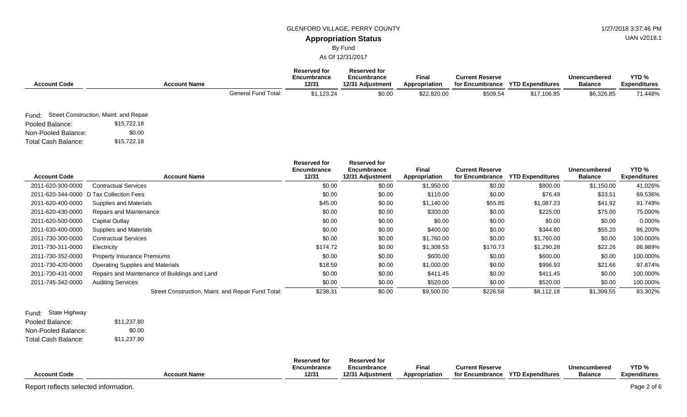### GLENFORD VILLAGE, PERRY COUNTY **1/27/2018** 3:37:46 PM

# UAN v2018.1

**Appropriation Status** By Fund

As Of 12/31/2017

| <b>Account Code</b> |                                              | <b>Account Name</b>        | Reserved for<br>Encumbrance<br>12/31 | <b>Reserved for</b><br>Encumbrance<br>12/31 Adjustment | Final<br>Appropriation | <b>Current Reserve</b><br>for Encumbrance | <b>YTD Expenditures</b> | Unencumbered<br><b>Balance</b> | YTD <sub>%</sub><br><b>Expenditures</b> |
|---------------------|----------------------------------------------|----------------------------|--------------------------------------|--------------------------------------------------------|------------------------|-------------------------------------------|-------------------------|--------------------------------|-----------------------------------------|
|                     |                                              | <b>General Fund Total:</b> | \$1,123.24                           | \$0.00                                                 | \$22,820.00            | \$509.54                                  | \$17,106.85             | \$6,326.85                     | 71.448%                                 |
|                     | Fund: Street Construction, Maint. and Repair |                            |                                      |                                                        |                        |                                           |                         |                                |                                         |
| Pooled Balance:     | \$15,722.18                                  |                            |                                      |                                                        |                        |                                           |                         |                                |                                         |
| Non-Pooled Balance: | \$0.00                                       |                            |                                      |                                                        |                        |                                           |                         |                                |                                         |
| Total Cash Balance: | \$15,722.18                                  |                            |                                      |                                                        |                        |                                           |                         |                                |                                         |

|                     |                                                    | <b>Reserved for</b><br>Encumbrance | Reserved for<br>Encumbrance | <b>Final</b>  | <b>Current Reserve</b> |                         | Unencumbered   | YTD <sub>%</sub>    |
|---------------------|----------------------------------------------------|------------------------------------|-----------------------------|---------------|------------------------|-------------------------|----------------|---------------------|
| <b>Account Code</b> | <b>Account Name</b>                                | 12/31                              | 12/31 Adjustment            | Appropriation | for Encumbrance        | <b>YTD Expenditures</b> | <b>Balance</b> | <b>Expenditures</b> |
| 2011-620-300-0000   | <b>Contractual Services</b>                        | \$0.00                             | \$0.00                      | \$1,950.00    | \$0.00                 | \$800.00                | \$1,150.00     | 41.026%             |
| 2011-620-344-0000   | D Tax Collection Fees                              | \$0.00                             | \$0.00                      | \$110.00      | \$0.00                 | \$76.49                 | \$33.51        | 69.536%             |
| 2011-620-400-0000   | Supplies and Materials                             | \$45.00                            | \$0.00                      | \$1,140.00    | \$55.85                | \$1,087.23              | \$41.92        | 91.749%             |
| 2011-620-430-0000   | <b>Repairs and Maintenance</b>                     | \$0.00                             | \$0.00                      | \$300.00      | \$0.00                 | \$225.00                | \$75.00        | 75.000%             |
| 2011-620-500-0000   | Capital Outlay                                     | \$0.00                             | \$0.00                      | \$0.00        | \$0.00                 | \$0.00                  | \$0.00         | 0.000%              |
| 2011-630-400-0000   | Supplies and Materials                             | \$0.00                             | \$0.00                      | \$400.00      | \$0.00                 | \$344.80                | \$55.20        | 86.200%             |
| 2011-730-300-0000   | <b>Contractual Services</b>                        | \$0.00                             | \$0.00                      | \$1,760.00    | \$0.00                 | \$1,760.00              | \$0.00         | 100.000%            |
| 2011-730-311-0000   | Electricity                                        | \$174.72                           | \$0.00                      | \$1,308.55    | \$170.73               | \$1,290.28              | \$22.26        | 86.989%             |
| 2011-730-352-0000   | <b>Property Insurance Premiums</b>                 | \$0.00                             | \$0.00                      | \$600.00      | \$0.00                 | \$600.00                | \$0.00         | 100.000%            |
| 2011-730-420-0000   | <b>Operating Supplies and Materials</b>            | \$18.59                            | \$0.00                      | \$1,000.00    | \$0.00                 | \$996.93                | \$21.66        | 97.874%             |
| 2011-730-431-0000   | Repairs and Maintenance of Buildings and Land      | \$0.00                             | \$0.00                      | \$411.45      | \$0.00                 | \$411.45                | \$0.00         | 100.000%            |
| 2011-745-342-0000   | <b>Auditing Services</b>                           | \$0.00                             | \$0.00                      | \$520.00      | \$0.00                 | \$520.00                | \$0.00         | 100.000%            |
|                     | Street Construction, Maint. and Repair Fund Total: | \$238.31                           | \$0.00                      | \$9,500.00    | \$226.58               | \$8,112.18              | \$1,399.55     | 83.302%             |

| Fund: State Highway |             |
|---------------------|-------------|
|                     |             |
| Pooled Balance:     | \$11,237.80 |
| Non-Pooled Balance: | \$0.00      |
| Total Cash Balance: | \$11,237.80 |

|                     |                     | <b>Reserved for</b> | <b>Reserved for</b> |               |                        |                         |                |                     |
|---------------------|---------------------|---------------------|---------------------|---------------|------------------------|-------------------------|----------------|---------------------|
|                     |                     | Encumbrance         | Encumbrance         | Fina          | <b>Current Reserve</b> |                         | Unencumbered   | YTD <sub>%</sub>    |
| <b>Account Code</b> | <b>Account Name</b> | 12/31               | 12/31 Adiustment    | Appropriation | for Encumbrance        | <b>YTD Expenditures</b> | <b>Balance</b> | <b>Expenditures</b> |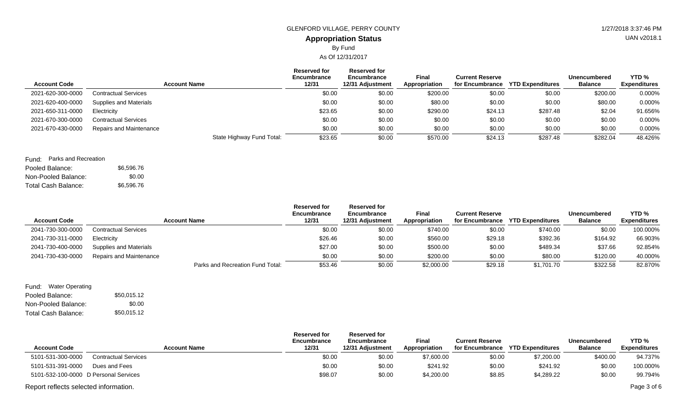## **Appropriation Status** GLENFORD VILLAGE, PERRY COUNTY **1/27/2018** 3:37:46 PM By Fund

As Of 12/31/2017

| <b>Account Code</b> | <b>Account Name</b>            | <b>Reserved for</b><br>Encumbrance<br>12/31 | <b>Reserved for</b><br>Encumbrance<br>12/31 Adjustment | <b>Final</b><br>Appropriation | <b>Current Reserve</b> | for Encumbrance YTD Expenditures | Unencumbered<br><b>Balance</b> | YTD %<br><b>Expenditures</b> |
|---------------------|--------------------------------|---------------------------------------------|--------------------------------------------------------|-------------------------------|------------------------|----------------------------------|--------------------------------|------------------------------|
| 2021-620-300-0000   | <b>Contractual Services</b>    | \$0.00                                      | \$0.00                                                 | \$200.00                      | \$0.00                 | \$0.00                           | \$200.00                       | 0.000%                       |
| 2021-620-400-0000   | <b>Supplies and Materials</b>  | \$0.00                                      | \$0.00                                                 | \$80.00                       | \$0.00                 | \$0.00                           | \$80.00                        | 0.000%                       |
| 2021-650-311-0000   | Electricity                    | \$23.65                                     | \$0.00                                                 | \$290.00                      | \$24.13                | \$287.48                         | \$2.04                         | 91.656%                      |
| 2021-670-300-0000   | <b>Contractual Services</b>    | \$0.00                                      | \$0.00                                                 | \$0.00                        | \$0.00                 | \$0.00                           | \$0.00                         | 0.000%                       |
| 2021-670-430-0000   | <b>Repairs and Maintenance</b> | \$0.00                                      | \$0.00                                                 | \$0.00                        | \$0.00                 | \$0.00                           | \$0.00                         | 0.000%                       |
|                     |                                | State Highway Fund Total:<br>\$23.65        | \$0.00                                                 | \$570.00                      | \$24.13                | \$287.48                         | \$282.04                       | 48.426%                      |

### Pooled Balance: \$6,596.76 Fund: Parks and Recreation

| T VUIVU DAIAHVU.    | $\mathsf{v}\mathsf{v}\mathsf{v}\mathsf{v}\mathsf{v}\mathsf{v}$ |
|---------------------|----------------------------------------------------------------|
| Non-Pooled Balance: | \$0.00                                                         |
| Total Cash Balance: | \$6,596,76                                                     |

| <b>Account Code</b> | <b>Account Name</b>              | <b>Reserved for</b><br>Encumbrance<br>12/31 | <b>Reserved for</b><br>Encumbrance<br>12/31 Adjustment | <b>Final</b><br>Appropriation | <b>Current Reserve</b><br>for Encumbrance | <b>YTD Expenditures</b> | Unencumbered<br><b>Balance</b> | YTD <sub>%</sub><br><b>Expenditures</b> |
|---------------------|----------------------------------|---------------------------------------------|--------------------------------------------------------|-------------------------------|-------------------------------------------|-------------------------|--------------------------------|-----------------------------------------|
| 2041-730-300-0000   | <b>Contractual Services</b>      | \$0.00                                      | \$0.00                                                 | \$740.00                      | \$0.00                                    | \$740.00                | \$0.00                         | 100.000%                                |
| 2041-730-311-0000   | Electricity                      | \$26.46                                     | \$0.00                                                 | \$560.00                      | \$29.18                                   | \$392.36                | \$164.92                       | 66.903%                                 |
| 2041-730-400-0000   | Supplies and Materials           | \$27.00                                     | \$0.00                                                 | \$500.00                      | \$0.00                                    | \$489.34                | \$37.66                        | 92.854%                                 |
| 2041-730-430-0000   | Repairs and Maintenance          | \$0.00                                      | \$0.00                                                 | \$200.00                      | \$0.00                                    | \$80.00                 | \$120.00                       | 40.000%                                 |
|                     | Parks and Recreation Fund Total: | \$53.46                                     | \$0.00                                                 | \$2,000.00                    | \$29.18                                   | \$1,701.70              | \$322.58                       | 82.870%                                 |

| Fund: Water Operating |             |
|-----------------------|-------------|
| Pooled Balance:       | \$50,015.12 |
| Non-Pooled Balance:   | \$0.00      |
| Total Cash Balance:   | \$50,015.12 |

| <b>Account Code</b>                   | <b>Account Name</b>         | <b>Reserved for</b><br>Encumbrance<br>12/31 | <b>Reserved for</b><br>Encumbrance<br>12/31 Adjustment | Final<br>Appropriation | <b>Current Reserve</b><br>for Encumbrance | <b>YTD Expenditures</b> | Unencumbered<br><b>Balance</b> | YTD <sub>%</sub><br><b>Expenditures</b> |
|---------------------------------------|-----------------------------|---------------------------------------------|--------------------------------------------------------|------------------------|-------------------------------------------|-------------------------|--------------------------------|-----------------------------------------|
| 5101-531-300-0000                     | <b>Contractual Services</b> | \$0.00                                      | \$0.00                                                 | \$7,600.00             | \$0.00                                    | \$7,200.00              | \$400.00                       | 94.737%                                 |
| 5101-531-391-0000                     | Dues and Fees               | \$0.00                                      | \$0.00                                                 | \$241.92               | \$0.00                                    | \$241.92                | \$0.00                         | 100.000%                                |
| 5101-532-100-0000 D Personal Services |                             | \$98.07                                     | \$0.00                                                 | \$4,200.00             | \$8.85                                    | \$4,289.22              | \$0.00                         | 99.794%                                 |
| Report reflects selected information. |                             |                                             |                                                        |                        |                                           |                         |                                | Page 3 of 6                             |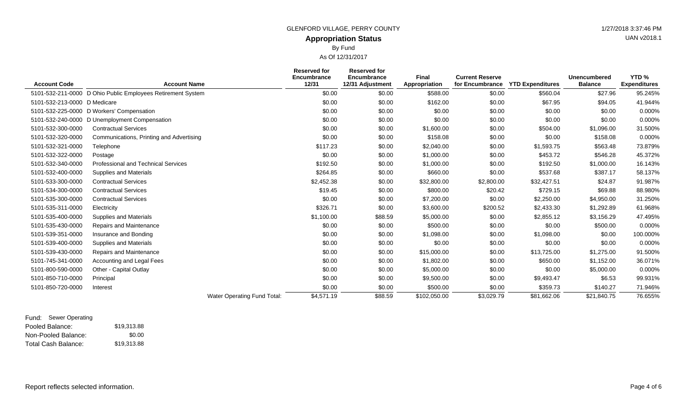### **Appropriation Status** GLENFORD VILLAGE, PERRY COUNTY **1/27/2018 3:37:46 PM** By Fund

As Of 12/31/2017

| <b>Account Code</b>          | <b>Account Name</b>                                         | <b>Reserved for</b><br><b>Encumbrance</b><br>12/31 | <b>Reserved for</b><br>Encumbrance<br>12/31 Adjustment | Final<br>Appropriation | <b>Current Reserve</b><br>for Encumbrance | <b>YTD Expenditures</b> | Unencumbered<br><b>Balance</b> | YTD %<br><b>Expenditures</b> |
|------------------------------|-------------------------------------------------------------|----------------------------------------------------|--------------------------------------------------------|------------------------|-------------------------------------------|-------------------------|--------------------------------|------------------------------|
|                              | 5101-532-211-0000 D Ohio Public Employees Retirement System | \$0.00                                             | \$0.00                                                 | \$588.00               | \$0.00                                    | \$560.04                | \$27.96                        | 95.245%                      |
| 5101-532-213-0000 D Medicare |                                                             | \$0.00                                             | \$0.00                                                 | \$162.00               | \$0.00                                    | \$67.95                 | \$94.05                        | 41.944%                      |
|                              | 5101-532-225-0000 D Workers' Compensation                   | \$0.00                                             | \$0.00                                                 | \$0.00                 | \$0.00                                    | \$0.00                  | \$0.00                         | 0.000%                       |
|                              | 5101-532-240-0000 D Unemployment Compensation               | \$0.00                                             | \$0.00                                                 | \$0.00                 | \$0.00                                    | \$0.00                  | \$0.00                         | 0.000%                       |
| 5101-532-300-0000            | <b>Contractual Services</b>                                 | \$0.00                                             | \$0.00                                                 | \$1,600.00             | \$0.00                                    | \$504.00                | \$1,096.00                     | 31.500%                      |
| 5101-532-320-0000            | Communications, Printing and Advertising                    | \$0.00                                             | \$0.00                                                 | \$158.08               | \$0.00                                    | \$0.00                  | \$158.08                       | 0.000%                       |
| 5101-532-321-0000            | Telephone                                                   | \$117.23                                           | \$0.00                                                 | \$2,040.00             | \$0.00                                    | \$1,593.75              | \$563.48                       | 73.879%                      |
| 5101-532-322-0000            | Postage                                                     | \$0.00                                             | \$0.00                                                 | \$1,000.00             | \$0.00                                    | \$453.72                | \$546.28                       | 45.372%                      |
| 5101-532-340-0000            | <b>Professional and Technical Services</b>                  | \$192.50                                           | \$0.00                                                 | \$1,000.00             | \$0.00                                    | \$192.50                | \$1,000.00                     | 16.143%                      |
| 5101-532-400-0000            | Supplies and Materials                                      | \$264.85                                           | \$0.00                                                 | \$660.00               | \$0.00                                    | \$537.68                | \$387.17                       | 58.137%                      |
| 5101-533-300-0000            | <b>Contractual Services</b>                                 | \$2,452.38                                         | \$0.00                                                 | \$32,800.00            | \$2,800.00                                | \$32,427.51             | \$24.87                        | 91.987%                      |
| 5101-534-300-0000            | <b>Contractual Services</b>                                 | \$19.45                                            | \$0.00                                                 | \$800.00               | \$20.42                                   | \$729.15                | \$69.88                        | 88.980%                      |
| 5101-535-300-0000            | <b>Contractual Services</b>                                 | \$0.00                                             | \$0.00                                                 | \$7,200.00             | \$0.00                                    | \$2,250.00              | \$4,950.00                     | 31.250%                      |
| 5101-535-311-0000            | Electricity                                                 | \$326.71                                           | \$0.00                                                 | \$3,600.00             | \$200.52                                  | \$2,433.30              | \$1,292.89                     | 61.968%                      |
| 5101-535-400-0000            | Supplies and Materials                                      | \$1,100.00                                         | \$88.59                                                | \$5,000.00             | \$0.00                                    | \$2,855.12              | \$3,156.29                     | 47.495%                      |
| 5101-535-430-0000            | Repairs and Maintenance                                     | \$0.00                                             | \$0.00                                                 | \$500.00               | \$0.00                                    | \$0.00                  | \$500.00                       | 0.000%                       |
| 5101-539-351-0000            | Insurance and Bonding                                       | \$0.00                                             | \$0.00                                                 | \$1,098.00             | \$0.00                                    | \$1,098.00              | \$0.00                         | 100.000%                     |
| 5101-539-400-0000            | Supplies and Materials                                      | \$0.00                                             | \$0.00                                                 | \$0.00                 | \$0.00                                    | \$0.00                  | \$0.00                         | 0.000%                       |
| 5101-539-430-0000            | Repairs and Maintenance                                     | \$0.00                                             | \$0.00                                                 | \$15,000.00            | \$0.00                                    | \$13,725.00             | \$1,275.00                     | 91.500%                      |
| 5101-745-341-0000            | Accounting and Legal Fees                                   | \$0.00                                             | \$0.00                                                 | \$1,802.00             | \$0.00                                    | \$650.00                | \$1,152.00                     | 36.071%                      |
| 5101-800-590-0000            | Other - Capital Outlay                                      | \$0.00                                             | \$0.00                                                 | \$5,000.00             | \$0.00                                    | \$0.00                  | \$5,000.00                     | 0.000%                       |

5101-850-710-0000 Principal \$0.00 \$9,500.00 \$0.00 \$9,493.47 \$6.53 99.931% 5101-850-720-0000 Interest \$0.00 \$0.00 \$500.00 \$0.00 \$359.73 \$140.27 71.946%

Water Operating Fund Total: **\$4,571.19** \$88.59 \$88.59 \$102,050.00 \$3,029.79 \$81,662.06 \$21,840.75 76.655%

Pooled Balance: \$19,313.88 Non-Pooled Balance: Total Cash Balance: Fund: Sewer Operating \$0.00 \$19,313.88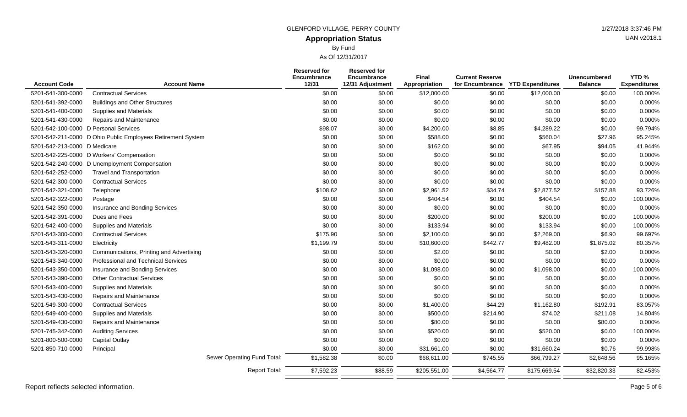# **Appropriation Status** GLENFORD VILLAGE, PERRY COUNTY **1/27/2018** 3:37:46 PM By Fund

As Of 12/31/2017

| <b>Account Code</b>                   | <b>Account Name</b>                                         |                             | <b>Reserved for</b><br>Encumbrance<br>12/31 | <b>Reserved for</b><br>Encumbrance<br>12/31 Adjustment | Final<br>Appropriation | <b>Current Reserve</b><br>for Encumbrance | <b>YTD Expenditures</b> | <b>Unencumbered</b><br><b>Balance</b> | YTD <sub>%</sub><br><b>Expenditures</b> |
|---------------------------------------|-------------------------------------------------------------|-----------------------------|---------------------------------------------|--------------------------------------------------------|------------------------|-------------------------------------------|-------------------------|---------------------------------------|-----------------------------------------|
| 5201-541-300-0000                     | <b>Contractual Services</b>                                 |                             | \$0.00                                      | \$0.00                                                 | \$12,000.00            | \$0.00                                    | \$12,000.00             | \$0.00                                | 100.000%                                |
| 5201-541-392-0000                     | <b>Buildings and Other Structures</b>                       |                             | \$0.00                                      | \$0.00                                                 | \$0.00                 | \$0.00                                    | \$0.00                  | \$0.00                                | 0.000%                                  |
| 5201-541-400-0000                     | <b>Supplies and Materials</b>                               |                             | \$0.00                                      | \$0.00                                                 | \$0.00                 | \$0.00                                    | \$0.00                  | \$0.00                                | 0.000%                                  |
| 5201-541-430-0000                     | <b>Repairs and Maintenance</b>                              |                             | \$0.00                                      | \$0.00                                                 | \$0.00                 | \$0.00                                    | \$0.00                  | \$0.00                                | 0.000%                                  |
| 5201-542-100-0000 D Personal Services |                                                             |                             | \$98.07                                     | \$0.00                                                 | \$4,200.00             | \$8.85                                    | \$4,289.22              | \$0.00                                | 99.794%                                 |
|                                       | 5201-542-211-0000 D Ohio Public Employees Retirement System |                             | \$0.00                                      | \$0.00                                                 | \$588.00               | \$0.00                                    | \$560.04                | \$27.96                               | 95.245%                                 |
| 5201-542-213-0000 D Medicare          |                                                             |                             | \$0.00                                      | \$0.00                                                 | \$162.00               | \$0.00                                    | \$67.95                 | \$94.05                               | 41.944%                                 |
|                                       | 5201-542-225-0000 D Workers' Compensation                   |                             | \$0.00                                      | \$0.00                                                 | \$0.00                 | \$0.00                                    | \$0.00                  | \$0.00                                | 0.000%                                  |
|                                       | 5201-542-240-0000 D Unemployment Compensation               |                             | \$0.00                                      | \$0.00                                                 | \$0.00                 | \$0.00                                    | \$0.00                  | \$0.00                                | 0.000%                                  |
| 5201-542-252-0000                     | <b>Travel and Transportation</b>                            |                             | \$0.00                                      | \$0.00                                                 | \$0.00                 | \$0.00                                    | \$0.00                  | \$0.00                                | 0.000%                                  |
| 5201-542-300-0000                     | <b>Contractual Services</b>                                 |                             | \$0.00                                      | \$0.00                                                 | \$0.00                 | \$0.00                                    | \$0.00                  | \$0.00                                | 0.000%                                  |
| 5201-542-321-0000                     | Telephone                                                   |                             | \$108.62                                    | \$0.00                                                 | \$2,961.52             | \$34.74                                   | \$2,877.52              | \$157.88                              | 93.726%                                 |
| 5201-542-322-0000                     | Postage                                                     |                             | \$0.00                                      | \$0.00                                                 | \$404.54               | \$0.00                                    | \$404.54                | \$0.00                                | 100.000%                                |
| 5201-542-350-0000                     | Insurance and Bonding Services                              |                             | \$0.00                                      | \$0.00                                                 | \$0.00                 | \$0.00                                    | \$0.00                  | \$0.00                                | 0.000%                                  |
| 5201-542-391-0000                     | Dues and Fees                                               |                             | \$0.00                                      | \$0.00                                                 | \$200.00               | \$0.00                                    | \$200.00                | \$0.00                                | 100.000%                                |
| 5201-542-400-0000                     | <b>Supplies and Materials</b>                               |                             | \$0.00                                      | \$0.00                                                 | \$133.94               | \$0.00                                    | \$133.94                | \$0.00                                | 100.000%                                |
| 5201-543-300-0000                     | <b>Contractual Services</b>                                 |                             | \$175.90                                    | \$0.00                                                 | \$2,100.00             | \$0.00                                    | \$2,269.00              | \$6.90                                | 99.697%                                 |
| 5201-543-311-0000                     | Electricity                                                 |                             | \$1,199.79                                  | \$0.00                                                 | \$10,600.00            | \$442.77                                  | \$9,482.00              | \$1,875.02                            | 80.357%                                 |
| 5201-543-320-0000                     | Communications, Printing and Advertising                    |                             | \$0.00                                      | \$0.00                                                 | \$2.00                 | \$0.00                                    | \$0.00                  | \$2.00                                | 0.000%                                  |
| 5201-543-340-0000                     | Professional and Technical Services                         |                             | \$0.00                                      | \$0.00                                                 | \$0.00                 | \$0.00                                    | \$0.00                  | \$0.00                                | 0.000%                                  |
| 5201-543-350-0000                     | Insurance and Bonding Services                              |                             | \$0.00                                      | \$0.00                                                 | \$1,098.00             | \$0.00                                    | \$1,098.00              | \$0.00                                | 100.000%                                |
| 5201-543-390-0000                     | <b>Other Contractual Services</b>                           |                             | \$0.00                                      | \$0.00                                                 | \$0.00                 | \$0.00                                    | \$0.00                  | \$0.00                                | 0.000%                                  |
| 5201-543-400-0000                     | <b>Supplies and Materials</b>                               |                             | \$0.00                                      | \$0.00                                                 | \$0.00                 | \$0.00                                    | \$0.00                  | \$0.00                                | 0.000%                                  |
| 5201-543-430-0000                     | Repairs and Maintenance                                     |                             | \$0.00                                      | \$0.00                                                 | \$0.00                 | \$0.00                                    | \$0.00                  | \$0.00                                | 0.000%                                  |
| 5201-549-300-0000                     | <b>Contractual Services</b>                                 |                             | \$0.00                                      | \$0.00                                                 | \$1,400.00             | \$44.29                                   | \$1,162.80              | \$192.91                              | 83.057%                                 |
| 5201-549-400-0000                     | <b>Supplies and Materials</b>                               |                             | \$0.00                                      | \$0.00                                                 | \$500.00               | \$214.90                                  | \$74.02                 | \$211.08                              | 14.804%                                 |
| 5201-549-430-0000                     | Repairs and Maintenance                                     |                             | \$0.00                                      | \$0.00                                                 | \$80.00                | \$0.00                                    | \$0.00                  | \$80.00                               | 0.000%                                  |
| 5201-745-342-0000                     | <b>Auditing Services</b>                                    |                             | \$0.00                                      | \$0.00                                                 | \$520.00               | \$0.00                                    | \$520.00                | \$0.00                                | 100.000%                                |
| 5201-800-500-0000                     | <b>Capital Outlay</b>                                       |                             | \$0.00                                      | \$0.00                                                 | \$0.00                 | \$0.00                                    | \$0.00                  | \$0.00                                | 0.000%                                  |
| 5201-850-710-0000                     | Principal                                                   |                             | \$0.00                                      | \$0.00                                                 | \$31,661.00            | \$0.00                                    | \$31,660.24             | \$0.76                                | 99.998%                                 |
|                                       |                                                             | Sewer Operating Fund Total: | \$1,582.38                                  | \$0.00                                                 | \$68,611.00            | \$745.55                                  | \$66,799.27             | \$2,648.56                            | 95.165%                                 |
|                                       |                                                             | <b>Report Total:</b>        | \$7,592.23                                  | \$88.59                                                | \$205,551.00           | \$4,564.77                                | \$175,669.54            | \$32,820.33                           | 82.453%                                 |